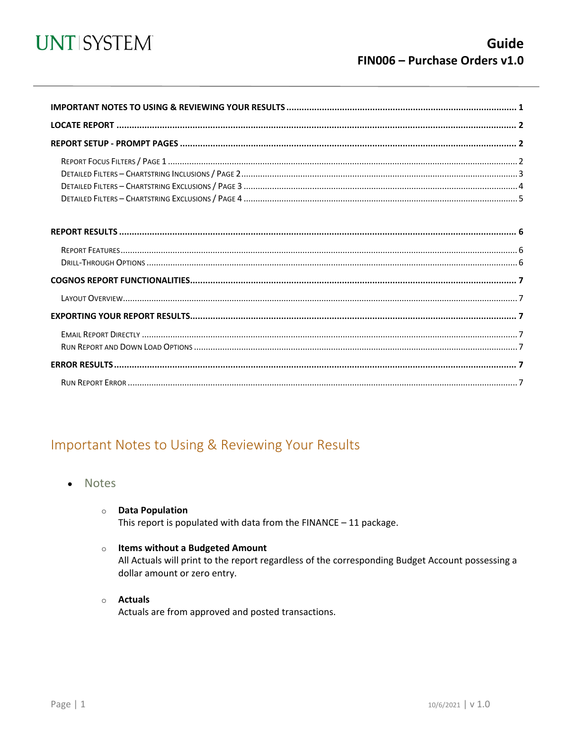

<span id="page-0-0"></span>

### Important Notes to Using & Reviewing Your Results

- Notes
	- **O** Data Population This report is populated with data from the FINANCE  $-11$  package.
	- $\circ$  Items without a Budgeted Amount

All Actuals will print to the report regardless of the corresponding Budget Account possessing a dollar amount or zero entry.

 $\circ$  Actuals

Actuals are from approved and posted transactions.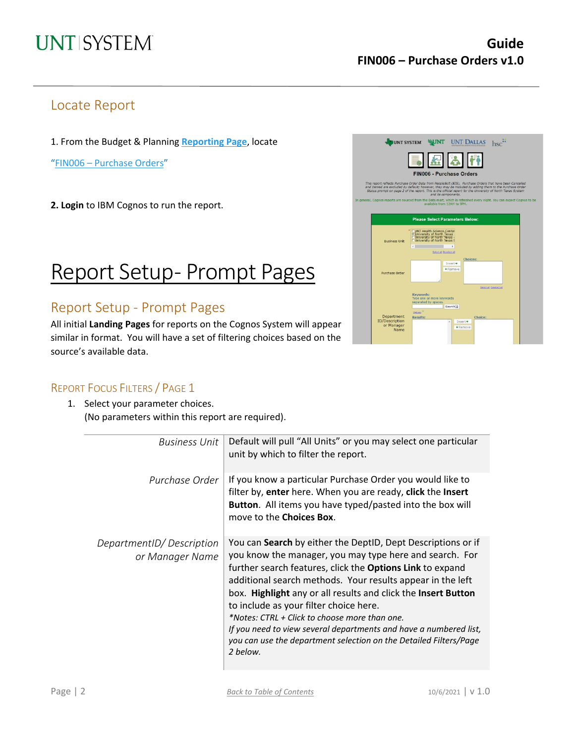### Locate Report

1. From the Budget & Planning **[Reporting Page](https://finance.untsystem.edu/reporting)**, locate

"FIN006 – [Purchase Orders"](https://cognospd.admin.unt.edu/bi/?pathRef=.public_folders%2FUniversity%2Bof%2BNorth%2BTexas%2BSystem%2FPurchasing%2FFIN006%2B-%2BPurchase%2BOrders)

**2. Login** to IBM Cognos to run the report.

# Report Setup- Prompt Pages

### Report Setup - Prompt Pages

All initial **Landing Pages** for reports on the Cognos System will appear similar in format. You will have a set of filtering choices based on the source's available data.



#### REPORT FOCUS FILTERS / PAGE 1

1. Select your parameter choices. (No parameters within this report are required).

| <b>Business Unit</b>                        | Default will pull "All Units" or you may select one particular<br>unit by which to filter the report.                                                                                                                                                                                                                                                                                                                                                                                                                                                                       |
|---------------------------------------------|-----------------------------------------------------------------------------------------------------------------------------------------------------------------------------------------------------------------------------------------------------------------------------------------------------------------------------------------------------------------------------------------------------------------------------------------------------------------------------------------------------------------------------------------------------------------------------|
| Purchase Order                              | If you know a particular Purchase Order you would like to<br>filter by, enter here. When you are ready, click the Insert<br>Button. All items you have typed/pasted into the box will<br>move to the <b>Choices Box</b> .                                                                                                                                                                                                                                                                                                                                                   |
| DepartmentID/Description<br>or Manager Name | You can Search by either the DeptID, Dept Descriptions or if<br>you know the manager, you may type here and search. For<br>further search features, click the <b>Options Link</b> to expand<br>additional search methods. Your results appear in the left<br>box. Highlight any or all results and click the Insert Button<br>to include as your filter choice here.<br>*Notes: CTRL + Click to choose more than one.<br>If you need to view several departments and have a numbered list,<br>you can use the department selection on the Detailed Filters/Page<br>2 below. |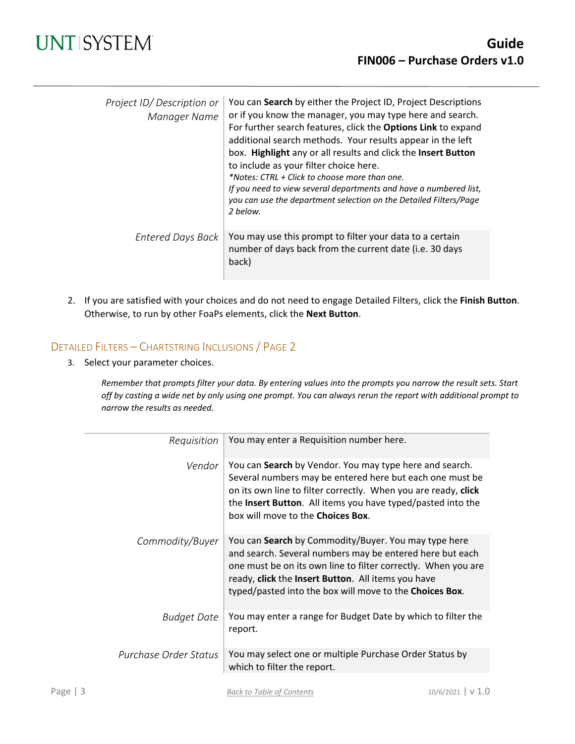| Project ID/Description or<br>Manager Name | You can Search by either the Project ID, Project Descriptions<br>or if you know the manager, you may type here and search.<br>For further search features, click the Options Link to expand<br>additional search methods. Your results appear in the left<br>box. Highlight any or all results and click the Insert Button<br>to include as your filter choice here.<br>*Notes: CTRL + Click to choose more than one.<br>If you need to view several departments and have a numbered list,<br>you can use the department selection on the Detailed Filters/Page<br>2 below. |
|-------------------------------------------|-----------------------------------------------------------------------------------------------------------------------------------------------------------------------------------------------------------------------------------------------------------------------------------------------------------------------------------------------------------------------------------------------------------------------------------------------------------------------------------------------------------------------------------------------------------------------------|
| Entered Days Back                         | You may use this prompt to filter your data to a certain<br>number of days back from the current date (i.e. 30 days<br>back)                                                                                                                                                                                                                                                                                                                                                                                                                                                |

2. If you are satisfied with your choices and do not need to engage Detailed Filters, click the **Finish Button**. Otherwise, to run by other FoaPs elements, click the **Next Button**.

#### DETAILED FILTERS – CHARTSTRING INCLUSIONS / PAGE 2

3. Select your parameter choices.

*Remember that prompts filter your data. By entering values into the prompts you narrow the result sets. Start off by casting a wide net by only using one prompt. You can always rerun the report with additional prompt to narrow the results as needed.*

| Requisition           | You may enter a Requisition number here.                                                                                                                                                                                                                                                           |
|-----------------------|----------------------------------------------------------------------------------------------------------------------------------------------------------------------------------------------------------------------------------------------------------------------------------------------------|
| Vendor                | You can Search by Vendor. You may type here and search.<br>Several numbers may be entered here but each one must be<br>on its own line to filter correctly. When you are ready, click<br>the Insert Button. All items you have typed/pasted into the<br>box will move to the Choices Box.          |
| Commodity/Buyer       | You can Search by Commodity/Buyer. You may type here<br>and search. Several numbers may be entered here but each<br>one must be on its own line to filter correctly. When you are<br>ready, click the Insert Button. All items you have<br>typed/pasted into the box will move to the Choices Box. |
| <b>Budget Date</b>    | You may enter a range for Budget Date by which to filter the<br>report.                                                                                                                                                                                                                            |
| Purchase Order Status | You may select one or multiple Purchase Order Status by<br>which to filter the report.                                                                                                                                                                                                             |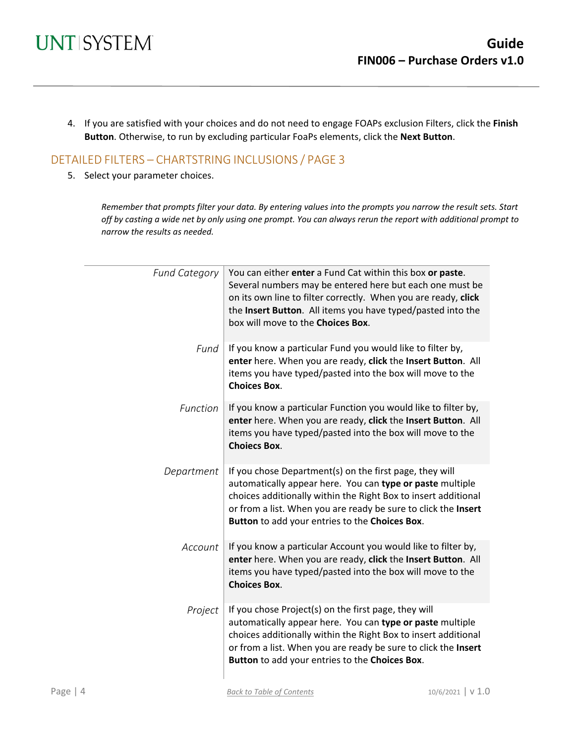4. If you are satisfied with your choices and do not need to engage FOAPs exclusion Filters, click the **Finish Button**. Otherwise, to run by excluding particular FoaPs elements, click the **Next Button**.

#### DETAILED FILTERS – CHARTSTRING INCLUSIONS / PAGE 3

5. Select your parameter choices.

*Remember that prompts filter your data. By entering values into the prompts you narrow the result sets. Start off by casting a wide net by only using one prompt. You can always rerun the report with additional prompt to narrow the results as needed.*

| <b>Fund Category</b> | You can either enter a Fund Cat within this box or paste.<br>Several numbers may be entered here but each one must be<br>on its own line to filter correctly. When you are ready, click<br>the Insert Button. All items you have typed/pasted into the<br>box will move to the Choices Box.                |
|----------------------|------------------------------------------------------------------------------------------------------------------------------------------------------------------------------------------------------------------------------------------------------------------------------------------------------------|
| Fund                 | If you know a particular Fund you would like to filter by,<br>enter here. When you are ready, click the Insert Button. All<br>items you have typed/pasted into the box will move to the<br><b>Choices Box.</b>                                                                                             |
| Function             | If you know a particular Function you would like to filter by,<br>enter here. When you are ready, click the Insert Button. All<br>items you have typed/pasted into the box will move to the<br><b>Choiecs Box.</b>                                                                                         |
| Department           | If you chose Department(s) on the first page, they will<br>automatically appear here. You can type or paste multiple<br>choices additionally within the Right Box to insert additional<br>or from a list. When you are ready be sure to click the Insert<br>Button to add your entries to the Choices Box. |
| Account              | If you know a particular Account you would like to filter by,<br>enter here. When you are ready, click the Insert Button. All<br>items you have typed/pasted into the box will move to the<br><b>Choices Box.</b>                                                                                          |
| Project              | If you chose Project(s) on the first page, they will<br>automatically appear here. You can type or paste multiple<br>choices additionally within the Right Box to insert additional<br>or from a list. When you are ready be sure to click the Insert<br>Button to add your entries to the Choices Box.    |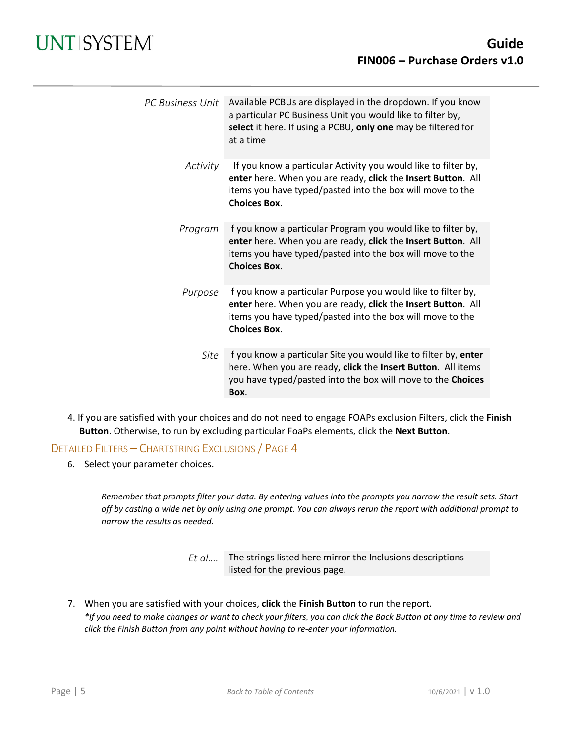| PC Business Unit | Available PCBUs are displayed in the dropdown. If you know<br>a particular PC Business Unit you would like to filter by,<br>select it here. If using a PCBU, only one may be filtered for<br>at a time               |
|------------------|----------------------------------------------------------------------------------------------------------------------------------------------------------------------------------------------------------------------|
| Activity         | I If you know a particular Activity you would like to filter by,<br>enter here. When you are ready, click the Insert Button. All<br>items you have typed/pasted into the box will move to the<br><b>Choices Box.</b> |
| Program          | If you know a particular Program you would like to filter by,<br>enter here. When you are ready, click the Insert Button. All<br>items you have typed/pasted into the box will move to the<br><b>Choices Box.</b>    |
| Purpose          | If you know a particular Purpose you would like to filter by,<br>enter here. When you are ready, click the Insert Button. All<br>items you have typed/pasted into the box will move to the<br><b>Choices Box.</b>    |
| Site             | If you know a particular Site you would like to filter by, enter<br>here. When you are ready, click the Insert Button. All items<br>you have typed/pasted into the box will move to the Choices<br>Box.              |

4. If you are satisfied with your choices and do not need to engage FOAPs exclusion Filters, click the **Finish Button**. Otherwise, to run by excluding particular FoaPs elements, click the **Next Button**.

#### DETAILED FILTERS – CHARTSTRING EXCLUSIONS / PAGE 4

6. Select your parameter choices.

*Remember that prompts filter your data. By entering values into the prompts you narrow the result sets. Start off by casting a wide net by only using one prompt. You can always rerun the report with additional prompt to narrow the results as needed.*

| <i>Et al</i> The strings listed here mirror the Inclusions descriptions |
|-------------------------------------------------------------------------|
| listed for the previous page.                                           |

7. When you are satisfied with your choices, **click** the **Finish Button** to run the report. *\*If you need to make changes or want to check your filters, you can click the Back Button at any time to review and click the Finish Button from any point without having to re-enter your information.*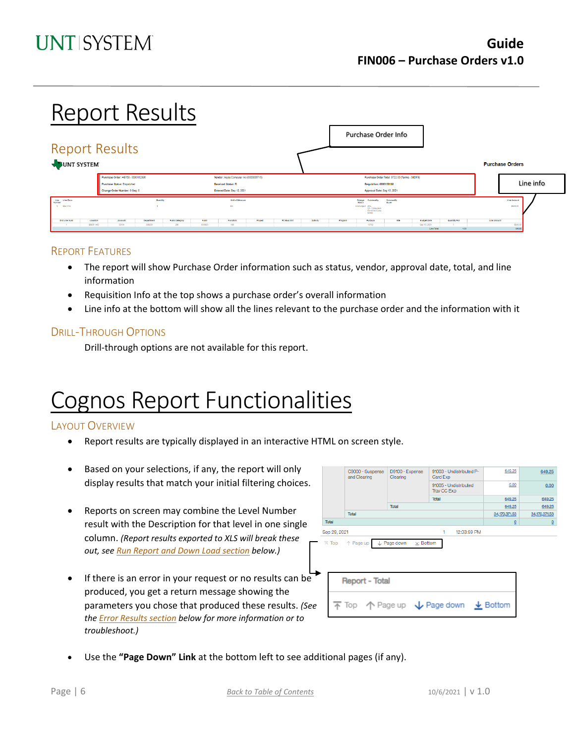# Report Results

|                                       | <b>Report Results</b>              |                 |               |        |                                         |         |             |         |         | Purchase Order Info                                                                           |                                                |                    |              |      |                                |           |
|---------------------------------------|------------------------------------|-----------------|---------------|--------|-----------------------------------------|---------|-------------|---------|---------|-----------------------------------------------------------------------------------------------|------------------------------------------------|--------------------|--------------|------|--------------------------------|-----------|
| JUNT SYSTEM                           |                                    |                 |               |        |                                         |         |             |         |         |                                                                                               |                                                |                    |              |      | <b>Purchase Orders</b>         |           |
|                                       | Purchase Order: HS763 - 0000182395 |                 |               |        | Vendor: Apple Computer Inc (0000008715) |         |             |         |         |                                                                                               | Purchase Order Total: \$722.00 (Terms - 30DYS) |                    |              |      |                                |           |
|                                       | Purchase Status: Discatched        |                 |               |        | Received Status: R                      |         |             |         |         | <b>Requisition: 0000150192</b>                                                                |                                                |                    |              |      |                                | Line info |
|                                       | Change Order Number: 0 Seq: 0      |                 |               |        | Entered Date: Sep 13, 2021              |         |             |         |         | Approval Date: Sep 13, 2021                                                                   |                                                |                    |              |      |                                |           |
| Line Line Desa<br>Number<br>1 Macmini |                                    | <b>Quantity</b> |               |        | Unit of Measure<br>EA:                  |         |             |         |         | Change<br>Matus<br>Commodity<br>Unchanged 204-<br>52 - Computers<br>Controlled Less<br>\$5000 | <b>Commodity</b><br>Buret                      |                    |              |      | <b>Line Amount</b><br>\$643.00 |           |
| Dist Line Num                         | Location<br>Account                | Department      | Fund Category | Fund   | Funotion                                | Project | PC Bus Unit | Addvity | Program | Purpose                                                                                       | 5.00                                           | <b>Budget Date</b> | Quantity/Pot |      | <b>Line Amount</b>             |           |
|                                       | <b>BSCP 400</b><br>53104           | 300200          | 200           | 830029 | 100                                     |         |             |         |         | 13792                                                                                         |                                                | Sep 10, 2021       |              |      | \$643.0                        |           |
|                                       |                                    |                 |               |        |                                         |         |             |         |         |                                                                                               |                                                | Line Total         |              | 1.00 | 641.00                         |           |

#### REPORT FEATURES

- The report will show Purchase Order information such as status, vendor, approval date, total, and line information
- Requisition Info at the top shows a purchase order's overall information
- Line info at the bottom will show all the lines relevant to the purchase order and the information with it

#### DRILL-THROUGH OPTIONS

Drill-through options are not available for this report.

# Cognos Report Functionalities

#### LAYOUT OVERVIEW

- Report results are typically displayed in an interactive HTML on screen style.
- Based on your selections, if any, the report will only display results that match your initial filtering choices.
- Reports on screen may combine the Level Number result with the Description for that level in one single column. *(Report results exported to XLS will break these out, see Run Report and Down Load section below.)*
- If there is an error in your request or no results can be produced, you get a return message showing the parameters you chose that produced these results. *(See th[e Error Results section](#page-6-0) below for more information or to troubleshoot.)*

|              | C9000 - Suspense<br>and Clearing           | D9100 - Expense<br>Clearing    | 91003 - Undistributed P-<br>Card Exp | 649.25        | 649.25          |  |
|--------------|--------------------------------------------|--------------------------------|--------------------------------------|---------------|-----------------|--|
|              |                                            |                                | 91005 - Undistributed<br>Trav CC Exp | 0.00          | 0.00            |  |
|              |                                            |                                | Total                                | 649.25        | 649.25          |  |
|              |                                            | Total                          |                                      | 649.25        | 649.25          |  |
|              | Total                                      |                                |                                      | 34,170,371.53 | 34, 170, 371.53 |  |
| Total        |                                            |                                |                                      | $\Omega$      | $\Omega$        |  |
| Sep 29, 2021 |                                            |                                | 12:03:59 PM<br>1                     |               |                 |  |
|              | $\overline{\wedge}$ Top $\uparrow$ Page up | L Page down<br>$\times$ Bottom |                                      |               |                 |  |
|              | <b>Report - Total</b>                      |                                |                                      |               |                 |  |
|              |                                            |                                | ↑ Page up ↓ Page down ↓ Bottom       |               |                 |  |

• Use the **"Page Down" Link** at the bottom left to see additional pages (if any).